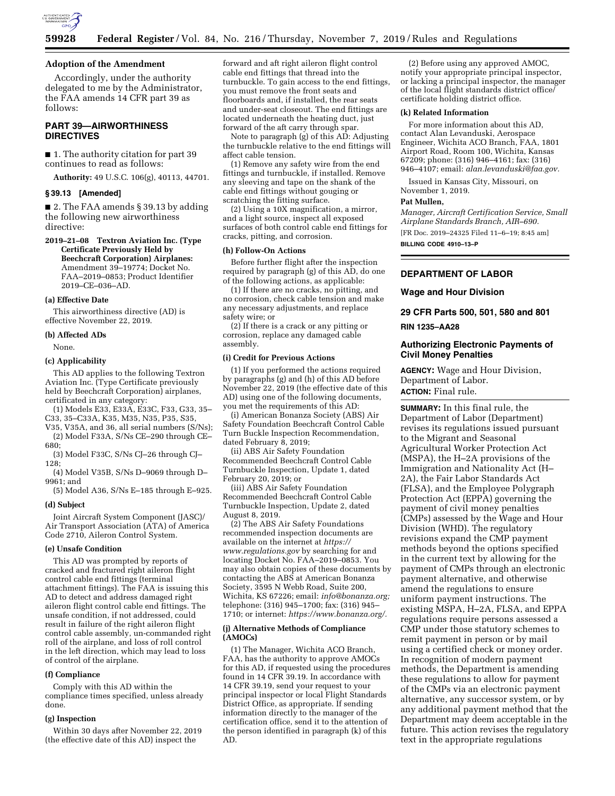

## **Adoption of the Amendment**

Accordingly, under the authority delegated to me by the Administrator, the FAA amends 14 CFR part 39 as follows:

# **PART 39—AIRWORTHINESS DIRECTIVES**

■ 1. The authority citation for part 39 continues to read as follows:

**Authority:** 49 U.S.C. 106(g), 40113, 44701.

## **§ 39.13 [Amended]**

■ 2. The FAA amends § 39.13 by adding the following new airworthiness directive:

**2019–21–08 Textron Aviation Inc. (Type Certificate Previously Held by Beechcraft Corporation) Airplanes:**  Amendment 39–19774; Docket No. FAA–2019–0853; Product Identifier 2019–CE–036–AD.

#### **(a) Effective Date**

This airworthiness directive (AD) is effective November 22, 2019.

#### **(b) Affected ADs**

None.

# **(c) Applicability**

This AD applies to the following Textron Aviation Inc. (Type Certificate previously held by Beechcraft Corporation) airplanes, certificated in any category:

(1) Models E33, E33A, E33C, F33, G33, 35– C33, 35–C33A, K35, M35, N35, P35, S35,

V35, V35A, and 36, all serial numbers (S/Ns);

(2) Model F33A, S/Ns CE–290 through CE– 680;

(3) Model F33C, S/Ns CJ–26 through CJ– 128;

(4) Model V35B, S/Ns D–9069 through D– 9961; and

(5) Model A36, S/Ns E–185 through E–925.

# **(d) Subject**

Joint Aircraft System Component (JASC)/ Air Transport Association (ATA) of America Code 2710, Aileron Control System.

#### **(e) Unsafe Condition**

This AD was prompted by reports of cracked and fractured right aileron flight control cable end fittings (terminal attachment fittings). The FAA is issuing this AD to detect and address damaged right aileron flight control cable end fittings. The unsafe condition, if not addressed, could result in failure of the right aileron flight control cable assembly, un-commanded right roll of the airplane, and loss of roll control in the left direction, which may lead to loss of control of the airplane.

#### **(f) Compliance**

Comply with this AD within the compliance times specified, unless already done.

### **(g) Inspection**

Within 30 days after November 22, 2019 (the effective date of this AD) inspect the

forward and aft right aileron flight control cable end fittings that thread into the turnbuckle. To gain access to the end fittings, you must remove the front seats and floorboards and, if installed, the rear seats and under-seat closeout. The end fittings are located underneath the heating duct, just forward of the aft carry through spar.

Note to paragraph (g) of this AD: Adjusting the turnbuckle relative to the end fittings will affect cable tension.

(1) Remove any safety wire from the end fittings and turnbuckle, if installed. Remove any sleeving and tape on the shank of the cable end fittings without gouging or scratching the fitting surface.

(2) Using a 10X magnification, a mirror, and a light source, inspect all exposed surfaces of both control cable end fittings for cracks, pitting, and corrosion.

#### **(h) Follow-On Actions**

Before further flight after the inspection required by paragraph (g) of this AD, do one of the following actions, as applicable:

(1) If there are no cracks, no pitting, and no corrosion, check cable tension and make any necessary adjustments, and replace safety wire; or

(2) If there is a crack or any pitting or corrosion, replace any damaged cable assembly.

### **(i) Credit for Previous Actions**

(1) If you performed the actions required by paragraphs (g) and (h) of this AD before November 22, 2019 (the effective date of this AD) using one of the following documents, you met the requirements of this AD:

(i) American Bonanza Society (ABS) Air Safety Foundation Beechcraft Control Cable Turn Buckle Inspection Recommendation, dated February 8, 2019;

(ii) ABS Air Safety Foundation Recommended Beechcraft Control Cable Turnbuckle Inspection, Update 1, dated February 20, 2019; or

(iii) ABS Air Safety Foundation Recommended Beechcraft Control Cable Turnbuckle Inspection, Update 2, dated August 8, 2019.

(2) The ABS Air Safety Foundations recommended inspection documents are available on the internet at *[https://](https://www.regulations.gov) [www.regulations.gov](https://www.regulations.gov)* by searching for and locating Docket No. FAA–2019–0853. You may also obtain copies of these documents by contacting the ABS at American Bonanza Society, 3595 N Webb Road, Suite 200, Wichita, KS 67226; email: *[info@bonanza.org;](mailto:info@bonanza.org)*  telephone: (316) 945–1700; fax: (316) 945– 1710; or internet: *[https://www.bonanza.org/.](https://www.bonanza.org/)* 

## **(j) Alternative Methods of Compliance (AMOCs)**

(1) The Manager, Wichita ACO Branch, FAA, has the authority to approve AMOCs for this AD, if requested using the procedures found in 14 CFR 39.19. In accordance with 14 CFR 39.19, send your request to your principal inspector or local Flight Standards District Office, as appropriate. If sending information directly to the manager of the certification office, send it to the attention of the person identified in paragraph (k) of this AD.

(2) Before using any approved AMOC, notify your appropriate principal inspector, or lacking a principal inspector, the manager of the local flight standards district office/ certificate holding district office.

#### **(k) Related Information**

For more information about this AD, contact Alan Levanduski, Aerospace Engineer, Wichita ACO Branch, FAA, 1801 Airport Road, Room 100, Wichita, Kansas 67209; phone: (316) 946–4161; fax: (316) 946–4107; email: *[alan.levanduski@faa.gov.](mailto:alan.levanduski@faa.gov)* 

Issued in Kansas City, Missouri, on November 1, 2019.

## **Pat Mullen,**

*Manager, Aircraft Certification Service, Small Airplane Standards Branch, AIR–690.*  [FR Doc. 2019–24325 Filed 11–6–19; 8:45 am] **BILLING CODE 4910–13–P** 

# **DEPARTMENT OF LABOR**

### **Wage and Hour Division**

**29 CFR Parts 500, 501, 580 and 801** 

## **RIN 1235–AA28**

### **Authorizing Electronic Payments of Civil Money Penalties**

**AGENCY:** Wage and Hour Division, Department of Labor. **ACTION:** Final rule.

**SUMMARY:** In this final rule, the Department of Labor (Department) revises its regulations issued pursuant to the Migrant and Seasonal Agricultural Worker Protection Act (MSPA), the H–2A provisions of the Immigration and Nationality Act (H– 2A), the Fair Labor Standards Act (FLSA), and the Employee Polygraph Protection Act (EPPA) governing the payment of civil money penalties (CMPs) assessed by the Wage and Hour Division (WHD). The regulatory revisions expand the CMP payment methods beyond the options specified in the current text by allowing for the payment of CMPs through an electronic payment alternative, and otherwise amend the regulations to ensure uniform payment instructions. The existing MSPA, H–2A, FLSA, and EPPA regulations require persons assessed a CMP under those statutory schemes to remit payment in person or by mail using a certified check or money order. In recognition of modern payment methods, the Department is amending these regulations to allow for payment of the CMPs via an electronic payment alternative, any successor system, or by any additional payment method that the Department may deem acceptable in the future. This action revises the regulatory text in the appropriate regulations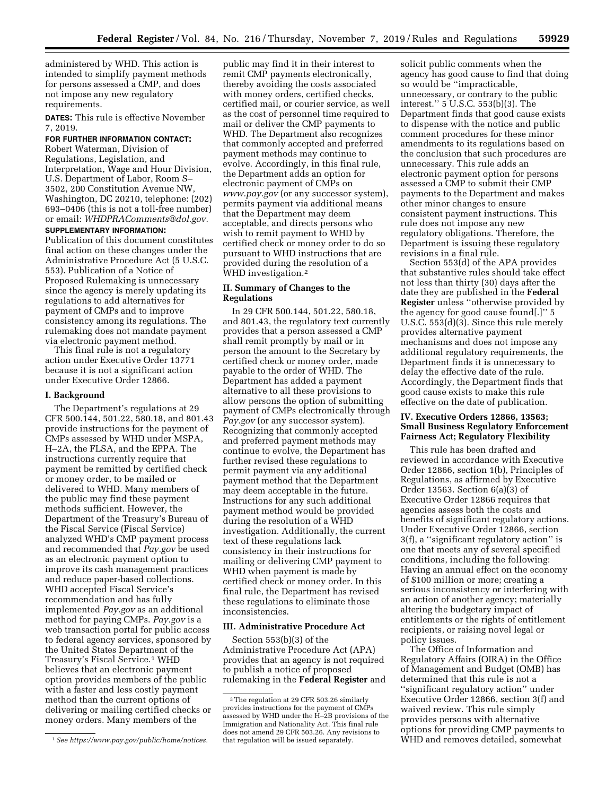administered by WHD. This action is intended to simplify payment methods for persons assessed a CMP, and does not impose any new regulatory requirements.

**DATES:** This rule is effective November 7, 2019.

# **FOR FURTHER INFORMATION CONTACT:**

Robert Waterman, Division of Regulations, Legislation, and Interpretation, Wage and Hour Division, U.S. Department of Labor, Room S– 3502, 200 Constitution Avenue NW, Washington, DC 20210, telephone: (202) 693–0406 (this is not a toll-free number) or email: *[WHDPRAComments@dol.gov.](mailto:WHDPRAComments@dol.gov)* 

# **SUPPLEMENTARY INFORMATION:**

Publication of this document constitutes final action on these changes under the Administrative Procedure Act (5 U.S.C. 553). Publication of a Notice of Proposed Rulemaking is unnecessary since the agency is merely updating its regulations to add alternatives for payment of CMPs and to improve consistency among its regulations. The rulemaking does not mandate payment via electronic payment method.

This final rule is not a regulatory action under Executive Order 13771 because it is not a significant action under Executive Order 12866.

#### **I. Background**

The Department's regulations at 29 CFR 500.144, 501.22, 580.18, and 801.43 provide instructions for the payment of CMPs assessed by WHD under MSPA, H–2A, the FLSA, and the EPPA. The instructions currently require that payment be remitted by certified check or money order, to be mailed or delivered to WHD. Many members of the public may find these payment methods sufficient. However, the Department of the Treasury's Bureau of the Fiscal Service (Fiscal Service) analyzed WHD's CMP payment process and recommended that *Pay.gov* be used as an electronic payment option to improve its cash management practices and reduce paper-based collections. WHD accepted Fiscal Service's recommendation and has fully implemented *Pay.gov* as an additional method for paying CMPs. *Pay.gov* is a web transaction portal for public access to federal agency services, sponsored by the United States Department of the Treasury's Fiscal Service.1 WHD believes that an electronic payment option provides members of the public with a faster and less costly payment method than the current options of delivering or mailing certified checks or money orders. Many members of the

1*See [https://www.pay.gov/public/home/notices.](https://www.pay.gov/public/home/notices)* 

public may find it in their interest to remit CMP payments electronically, thereby avoiding the costs associated with money orders, certified checks, certified mail, or courier service, as well as the cost of personnel time required to mail or deliver the CMP payments to WHD. The Department also recognizes that commonly accepted and preferred payment methods may continue to evolve. Accordingly, in this final rule, the Department adds an option for electronic payment of CMPs on *[www.pay.gov](http://www.pay.gov)* (or any successor system), permits payment via additional means that the Department may deem acceptable, and directs persons who wish to remit payment to WHD by certified check or money order to do so pursuant to WHD instructions that are provided during the resolution of a WHD investigation.2

## **II. Summary of Changes to the Regulations**

In 29 CFR 500.144, 501.22, 580.18, and 801.43, the regulatory text currently provides that a person assessed a CMP shall remit promptly by mail or in person the amount to the Secretary by certified check or money order, made payable to the order of WHD. The Department has added a payment alternative to all these provisions to allow persons the option of submitting payment of CMPs electronically through *Pay.gov* (or any successor system). Recognizing that commonly accepted and preferred payment methods may continue to evolve, the Department has further revised these regulations to permit payment via any additional payment method that the Department may deem acceptable in the future. Instructions for any such additional payment method would be provided during the resolution of a WHD investigation. Additionally, the current text of these regulations lack consistency in their instructions for mailing or delivering CMP payment to WHD when payment is made by certified check or money order. In this final rule, the Department has revised these regulations to eliminate those inconsistencies.

## **III. Administrative Procedure Act**

Section 553(b)(3) of the Administrative Procedure Act (APA) provides that an agency is not required to publish a notice of proposed rulemaking in the **Federal Register** and

solicit public comments when the agency has good cause to find that doing so would be ''impracticable, unnecessary, or contrary to the public interest.'' 5 U.S.C. 553(b)(3). The Department finds that good cause exists to dispense with the notice and public comment procedures for these minor amendments to its regulations based on the conclusion that such procedures are unnecessary. This rule adds an electronic payment option for persons assessed a CMP to submit their CMP payments to the Department and makes other minor changes to ensure consistent payment instructions. This rule does not impose any new regulatory obligations. Therefore, the Department is issuing these regulatory revisions in a final rule.

Section 553(d) of the APA provides that substantive rules should take effect not less than thirty (30) days after the date they are published in the **Federal Register** unless ''otherwise provided by the agency for good cause found[.]'' 5 U.S.C. 553(d)(3). Since this rule merely provides alternative payment mechanisms and does not impose any additional regulatory requirements, the Department finds it is unnecessary to delay the effective date of the rule. Accordingly, the Department finds that good cause exists to make this rule effective on the date of publication.

## **IV. Executive Orders 12866, 13563; Small Business Regulatory Enforcement Fairness Act; Regulatory Flexibility**

This rule has been drafted and reviewed in accordance with Executive Order 12866, section 1(b), Principles of Regulations, as affirmed by Executive Order 13563. Section 6(a)(3) of Executive Order 12866 requires that agencies assess both the costs and benefits of significant regulatory actions. Under Executive Order 12866, section 3(f), a ''significant regulatory action'' is one that meets any of several specified conditions, including the following: Having an annual effect on the economy of \$100 million or more; creating a serious inconsistency or interfering with an action of another agency; materially altering the budgetary impact of entitlements or the rights of entitlement recipients, or raising novel legal or policy issues.

The Office of Information and Regulatory Affairs (OIRA) in the Office of Management and Budget (OMB) has determined that this rule is not a ''significant regulatory action'' under Executive Order 12866, section 3(f) and waived review. This rule simply provides persons with alternative options for providing CMP payments to WHD and removes detailed, somewhat

<sup>2</sup>The regulation at 29 CFR 503.26 similarly provides instructions for the payment of CMPs assessed by WHD under the  $\tilde{H}$ –2B provisions of the Immigration and Nationality Act. This final rule does not amend 29 CFR 503.26. Any revisions to that regulation will be issued separately.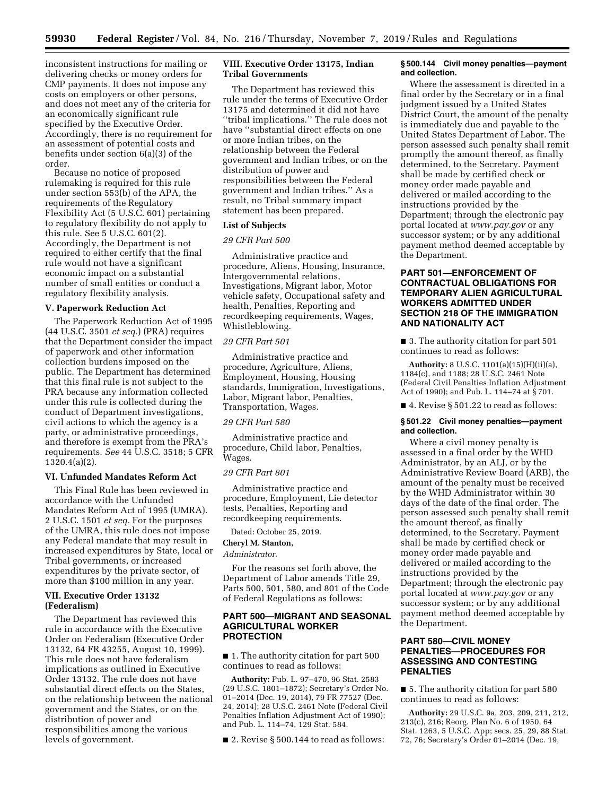inconsistent instructions for mailing or delivering checks or money orders for CMP payments. It does not impose any costs on employers or other persons, and does not meet any of the criteria for an economically significant rule specified by the Executive Order. Accordingly, there is no requirement for an assessment of potential costs and benefits under section 6(a)(3) of the order.

Because no notice of proposed rulemaking is required for this rule under section 553(b) of the APA, the requirements of the Regulatory Flexibility Act (5 U.S.C. 601) pertaining to regulatory flexibility do not apply to this rule. See 5 U.S.C. 601(2). Accordingly, the Department is not required to either certify that the final rule would not have a significant economic impact on a substantial number of small entities or conduct a regulatory flexibility analysis.

# **V. Paperwork Reduction Act**

The Paperwork Reduction Act of 1995 (44 U.S.C. 3501 *et seq.*) (PRA) requires that the Department consider the impact of paperwork and other information collection burdens imposed on the public. The Department has determined that this final rule is not subject to the PRA because any information collected under this rule is collected during the conduct of Department investigations, civil actions to which the agency is a party, or administrative proceedings, and therefore is exempt from the PRA's requirements. *See* 44 U.S.C. 3518; 5 CFR 1320.4(a)(2).

#### **VI. Unfunded Mandates Reform Act**

This Final Rule has been reviewed in accordance with the Unfunded Mandates Reform Act of 1995 (UMRA). 2 U.S.C. 1501 *et seq.* For the purposes of the UMRA, this rule does not impose any Federal mandate that may result in increased expenditures by State, local or Tribal governments, or increased expenditures by the private sector, of more than \$100 million in any year.

# **VII. Executive Order 13132 (Federalism)**

The Department has reviewed this rule in accordance with the Executive Order on Federalism (Executive Order 13132, 64 FR 43255, August 10, 1999). This rule does not have federalism implications as outlined in Executive Order 13132. The rule does not have substantial direct effects on the States, on the relationship between the national government and the States, or on the distribution of power and responsibilities among the various levels of government.

# **VIII. Executive Order 13175, Indian Tribal Governments**

The Department has reviewed this rule under the terms of Executive Order 13175 and determined it did not have ''tribal implications.'' The rule does not have ''substantial direct effects on one or more Indian tribes, on the relationship between the Federal government and Indian tribes, or on the distribution of power and responsibilities between the Federal government and Indian tribes.'' As a result, no Tribal summary impact statement has been prepared.

### **List of Subjects**

#### *29 CFR Part 500*

Administrative practice and procedure, Aliens, Housing, Insurance, Intergovernmental relations, Investigations, Migrant labor, Motor vehicle safety, Occupational safety and health, Penalties, Reporting and recordkeeping requirements, Wages, Whistleblowing.

## *29 CFR Part 501*

Administrative practice and procedure, Agriculture, Aliens, Employment, Housing, Housing standards, Immigration, Investigations, Labor, Migrant labor, Penalties, Transportation, Wages.

### *29 CFR Part 580*

Administrative practice and procedure, Child labor, Penalties, Wages.

## *29 CFR Part 801*

Administrative practice and procedure, Employment, Lie detector tests, Penalties, Reporting and recordkeeping requirements.

## Dated: October 25, 2019.

# **Cheryl M. Stanton,**

*Administrator.* 

For the reasons set forth above, the Department of Labor amends Title 29, Parts 500, 501, 580, and 801 of the Code of Federal Regulations as follows:

## **PART 500—MIGRANT AND SEASONAL AGRICULTURAL WORKER PROTECTION**

■ 1. The authority citation for part 500 continues to read as follows:

**Authority:** Pub. L. 97–470, 96 Stat. 2583 (29 U.S.C. 1801–1872); Secretary's Order No. 01–2014 (Dec. 19, 2014), 79 FR 77527 (Dec. 24, 2014); 28 U.S.C. 2461 Note (Federal Civil Penalties Inflation Adjustment Act of 1990); and Pub. L. 114–74, 129 Stat. 584.

■ 2. Revise § 500.144 to read as follows:

## **§ 500.144 Civil money penalties—payment and collection.**

Where the assessment is directed in a final order by the Secretary or in a final judgment issued by a United States District Court, the amount of the penalty is immediately due and payable to the United States Department of Labor. The person assessed such penalty shall remit promptly the amount thereof, as finally determined, to the Secretary. Payment shall be made by certified check or money order made payable and delivered or mailed according to the instructions provided by the Department; through the electronic pay portal located at *[www.pay.gov](http://www.pay.gov)* or any successor system; or by any additional payment method deemed acceptable by the Department.

# **PART 501—ENFORCEMENT OF CONTRACTUAL OBLIGATIONS FOR TEMPORARY ALIEN AGRICULTURAL WORKERS ADMITTED UNDER SECTION 218 OF THE IMMIGRATION AND NATIONALITY ACT**

■ 3. The authority citation for part 501 continues to read as follows:

**Authority:** 8 U.S.C. 1101(a)(15)(H)(ii)(a), 1184(c), and 1188; 28 U.S.C. 2461 Note (Federal Civil Penalties Inflation Adjustment Act of 1990); and Pub. L. 114–74 at § 701.

■ 4. Revise § 501.22 to read as follows:

### **§ 501.22 Civil money penalties—payment and collection.**

Where a civil money penalty is assessed in a final order by the WHD Administrator, by an ALJ, or by the Administrative Review Board (ARB), the amount of the penalty must be received by the WHD Administrator within 30 days of the date of the final order. The person assessed such penalty shall remit the amount thereof, as finally determined, to the Secretary. Payment shall be made by certified check or money order made payable and delivered or mailed according to the instructions provided by the Department; through the electronic pay portal located at *[www.pay.gov](http://www.pay.gov)* or any successor system; or by any additional payment method deemed acceptable by the Department.

# **PART 580—CIVIL MONEY PENALTIES—PROCEDURES FOR ASSESSING AND CONTESTING PENALTIES**

■ 5. The authority citation for part 580 continues to read as follows:

**Authority:** 29 U.S.C. 9a, 203, 209, 211, 212, 213(c), 216; Reorg. Plan No. 6 of 1950, 64 Stat. 1263, 5 U.S.C. App; secs. 25, 29, 88 Stat. 72, 76; Secretary's Order 01–2014 (Dec. 19,